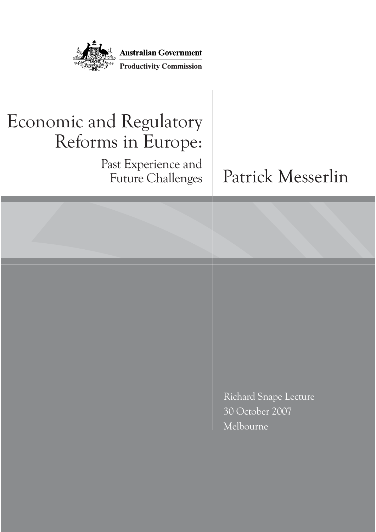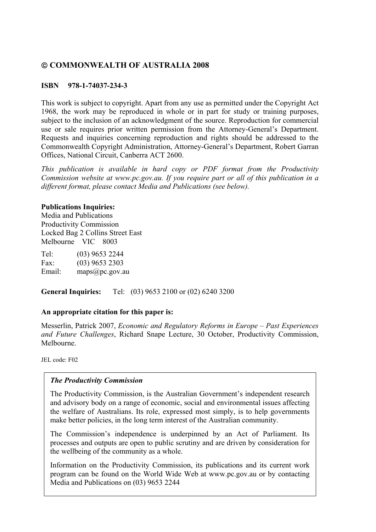#### © **COMMONWEALTH OF AUSTRALIA 2008**

#### **ISBN 978-1-74037-234-3**

This work is subject to copyright. Apart from any use as permitted under the Copyright Act 1968, the work may be reproduced in whole or in part for study or training purposes, subject to the inclusion of an acknowledgment of the source. Reproduction for commercial use or sale requires prior written permission from the Attorney-General's Department. Requests and inquiries concerning reproduction and rights should be addressed to the Commonwealth Copyright Administration, Attorney-General's Department, Robert Garran Offices, National Circuit, Canberra ACT 2600.

*This publication is available in hard copy or PDF format from the Productivity Commission website at www.pc.gov.au. If you require part or all of this publication in a different format, please contact Media and Publications (see below).* 

#### **Publications Inquiries:**

Media and Publications Productivity Commission Locked Bag 2 Collins Street East Melbourne VIC 8003

Tel: (03) 9653 2244 Fax: (03) 9653 2303 Email: maps@pc.gov.au

**General Inquiries:** Tel: (03) 9653 2100 or (02) 6240 3200

#### **An appropriate citation for this paper is:**

Messerlin, Patrick 2007, *Economic and Regulatory Reforms in Europe – Past Experiences and Future Challenges*, Richard Snape Lecture, 30 October, Productivity Commission, Melbourne.

JEL code: F02

#### *The Productivity Commission*

The Productivity Commission, is the Australian Government's independent research and advisory body on a range of economic, social and environmental issues affecting the welfare of Australians. Its role, expressed most simply, is to help governments make better policies, in the long term interest of the Australian community.

The Commission's independence is underpinned by an Act of Parliament. Its processes and outputs are open to public scrutiny and are driven by consideration for the wellbeing of the community as a whole.

Information on the Productivity Commission, its publications and its current work program can be found on the World Wide Web at www.pc.gov.au or by contacting Media and Publications on (03) 9653 2244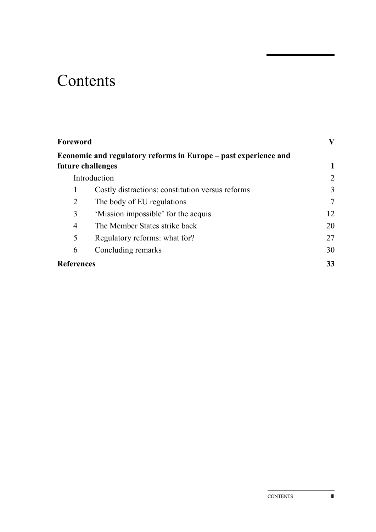# Contents

| Foreword          |                                                                                      | V              |
|-------------------|--------------------------------------------------------------------------------------|----------------|
|                   | Economic and regulatory reforms in Europe – past experience and<br>future challenges |                |
|                   | Introduction                                                                         | $\overline{2}$ |
|                   | Costly distractions: constitution versus reforms                                     | 3              |
| 2                 | The body of EU regulations                                                           | $\overline{7}$ |
| 3                 | 'Mission impossible' for the acquis                                                  | 12             |
| 4                 | The Member States strike back                                                        | 20             |
| 5                 | Regulatory reforms: what for?                                                        | 27             |
| 6                 | Concluding remarks                                                                   | 30             |
| <b>References</b> |                                                                                      | 33             |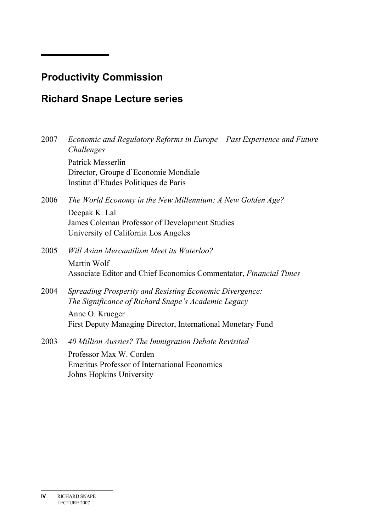## **Productivity Commission**

## **Richard Snape Lecture series**

| 2007 | Economic and Regulatory Reforms in Europe – Past Experience and Future<br>Challenges |
|------|--------------------------------------------------------------------------------------|
|      | <b>Patrick Messerlin</b>                                                             |
|      | Director, Groupe d'Economie Mondiale                                                 |
|      | Institut d'Etudes Politiques de Paris                                                |
| 2006 | The World Economy in the New Millennium: A New Golden Age?                           |
|      | Deepak K. Lal                                                                        |
|      | James Coleman Professor of Development Studies                                       |
|      | University of California Los Angeles                                                 |
| 2005 | Will Asian Mercantilism Meet its Waterloo?                                           |
|      | Martin Wolf                                                                          |
|      | Associate Editor and Chief Economics Commentator, Financial Times                    |
| 2004 | Spreading Prosperity and Resisting Economic Divergence:                              |
|      | The Significance of Richard Snape's Academic Legacy                                  |
|      | Anne O. Krueger                                                                      |
|      | First Deputy Managing Director, International Monetary Fund                          |
| 2003 | 40 Million Aussies? The Immigration Debate Revisited                                 |
|      | Professor Max W. Corden                                                              |
|      | <b>Emeritus Professor of International Economics</b>                                 |
|      | Johns Hopkins University                                                             |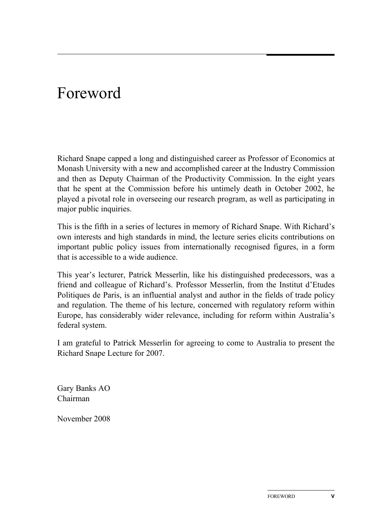## Foreword

Richard Snape capped a long and distinguished career as Professor of Economics at Monash University with a new and accomplished career at the Industry Commission and then as Deputy Chairman of the Productivity Commission. In the eight years that he spent at the Commission before his untimely death in October 2002, he played a pivotal role in overseeing our research program, as well as participating in major public inquiries.

This is the fifth in a series of lectures in memory of Richard Snape. With Richard's own interests and high standards in mind, the lecture series elicits contributions on important public policy issues from internationally recognised figures, in a form that is accessible to a wide audience.

This year's lecturer, Patrick Messerlin, like his distinguished predecessors, was a friend and colleague of Richard's. Professor Messerlin, from the Institut d'Etudes Politiques de Paris, is an influential analyst and author in the fields of trade policy and regulation. The theme of his lecture, concerned with regulatory reform within Europe, has considerably wider relevance, including for reform within Australia's federal system.

I am grateful to Patrick Messerlin for agreeing to come to Australia to present the Richard Snape Lecture for 2007.

Gary Banks AO Chairman

November 2008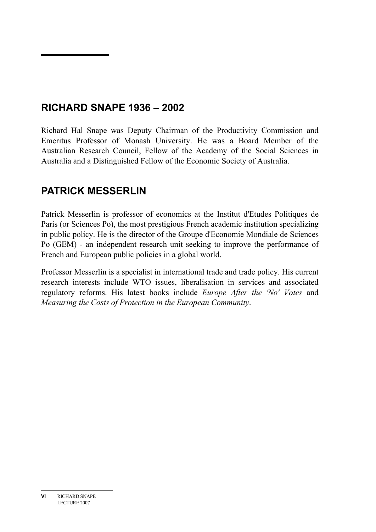### **RICHARD SNAPE 1936 – 2002**

Richard Hal Snape was Deputy Chairman of the Productivity Commission and Emeritus Professor of Monash University. He was a Board Member of the Australian Research Council, Fellow of the Academy of the Social Sciences in Australia and a Distinguished Fellow of the Economic Society of Australia.

### **PATRICK MESSERLIN**

Patrick Messerlin is professor of economics at the Institut d'Etudes Politiques de Paris (or Sciences Po), the most prestigious French academic institution specializing in public policy. He is the director of the Groupe d'Economie Mondiale de Sciences Po (GEM) - an independent research unit seeking to improve the performance of French and European public policies in a global world.

Professor Messerlin is a specialist in international trade and trade policy. His current research interests include WTO issues, liberalisation in services and associated regulatory reforms. His latest books include *Europe After the 'No' Votes* and *Measuring the Costs of Protection in the European Community*.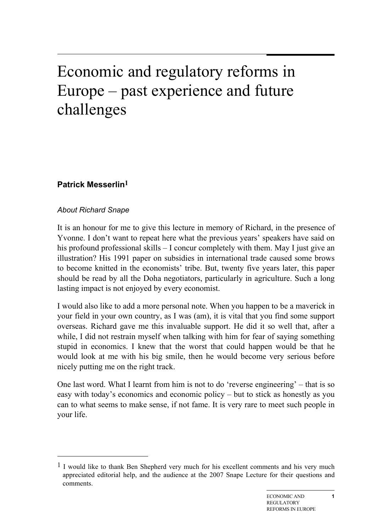# Economic and regulatory reforms in Europe – past experience and future challenges

#### **Patrick Messerlin1**

#### *About Richard Snape*

 $\overline{a}$ 

It is an honour for me to give this lecture in memory of Richard, in the presence of Yvonne. I don't want to repeat here what the previous years' speakers have said on his profound professional skills – I concur completely with them. May I just give an illustration? His 1991 paper on subsidies in international trade caused some brows to become knitted in the economists' tribe. But, twenty five years later, this paper should be read by all the Doha negotiators, particularly in agriculture. Such a long lasting impact is not enjoyed by every economist.

I would also like to add a more personal note. When you happen to be a maverick in your field in your own country, as I was (am), it is vital that you find some support overseas. Richard gave me this invaluable support. He did it so well that, after a while, I did not restrain myself when talking with him for fear of saying something stupid in economics. I knew that the worst that could happen would be that he would look at me with his big smile, then he would become very serious before nicely putting me on the right track.

One last word. What I learnt from him is not to do 'reverse engineering' – that is so easy with today's economics and economic policy – but to stick as honestly as you can to what seems to make sense, if not fame. It is very rare to meet such people in your life.

 $<sup>1</sup>$  I would like to thank Ben Shepherd very much for his excellent comments and his very much</sup> appreciated editorial help, and the audience at the 2007 Snape Lecture for their questions and comments.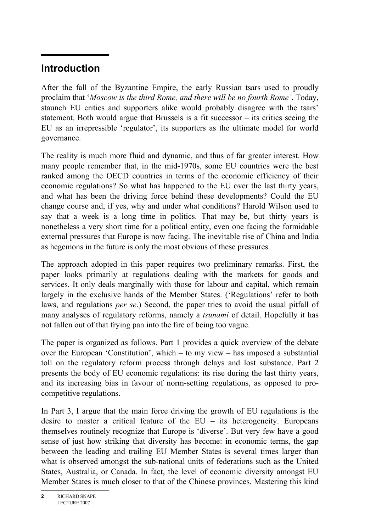#### $\overline{a}$ **Introduction**

After the fall of the Byzantine Empire, the early Russian tsars used to proudly proclaim that '*Moscow is the third Rome, and there will be no fourth Rome'*. Today, staunch EU critics and supporters alike would probably disagree with the tsars' statement. Both would argue that Brussels is a fit successor – its critics seeing the EU as an irrepressible 'regulator', its supporters as the ultimate model for world governance.

The reality is much more fluid and dynamic, and thus of far greater interest. How many people remember that, in the mid-1970s, some EU countries were the best ranked among the OECD countries in terms of the economic efficiency of their economic regulations? So what has happened to the EU over the last thirty years, and what has been the driving force behind these developments? Could the EU change course and, if yes, why and under what conditions? Harold Wilson used to say that a week is a long time in politics. That may be, but thirty years is nonetheless a very short time for a political entity, even one facing the formidable external pressures that Europe is now facing. The inevitable rise of China and India as hegemons in the future is only the most obvious of these pressures.

The approach adopted in this paper requires two preliminary remarks. First, the paper looks primarily at regulations dealing with the markets for goods and services. It only deals marginally with those for labour and capital, which remain largely in the exclusive hands of the Member States. ('Regulations' refer to both laws, and regulations *per se*.) Second, the paper tries to avoid the usual pitfall of many analyses of regulatory reforms, namely a *tsunami* of detail. Hopefully it has not fallen out of that frying pan into the fire of being too vague.

The paper is organized as follows. Part 1 provides a quick overview of the debate over the European 'Constitution', which – to my view – has imposed a substantial toll on the regulatory reform process through delays and lost substance. Part 2 presents the body of EU economic regulations: its rise during the last thirty years, and its increasing bias in favour of norm-setting regulations, as opposed to procompetitive regulations.

In Part 3, I argue that the main force driving the growth of EU regulations is the desire to master a critical feature of the EU – its heterogeneity. Europeans themselves routinely recognize that Europe is 'diverse'. But very few have a good sense of just how striking that diversity has become: in economic terms, the gap between the leading and trailing EU Member States is several times larger than what is observed amongst the sub-national units of federations such as the United States, Australia, or Canada. In fact, the level of economic diversity amongst EU Member States is much closer to that of the Chinese provinces. Mastering this kind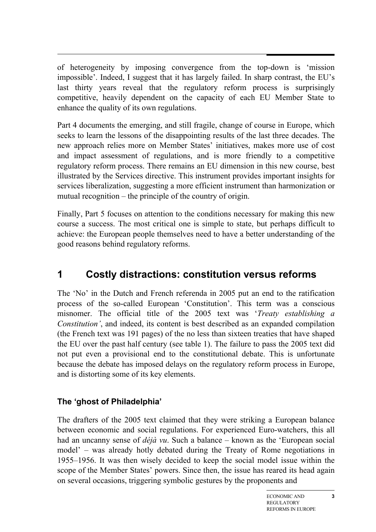of heterogeneity by imposing convergence from the top-down is 'mission impossible'. Indeed, I suggest that it has largely failed. In sharp contrast, the EU's last thirty years reveal that the regulatory reform process is surprisingly competitive, heavily dependent on the capacity of each EU Member State to enhance the quality of its own regulations.

Part 4 documents the emerging, and still fragile, change of course in Europe, which seeks to learn the lessons of the disappointing results of the last three decades. The new approach relies more on Member States' initiatives, makes more use of cost and impact assessment of regulations, and is more friendly to a competitive regulatory reform process. There remains an EU dimension in this new course, best illustrated by the Services directive. This instrument provides important insights for services liberalization, suggesting a more efficient instrument than harmonization or mutual recognition – the principle of the country of origin.

Finally, Part 5 focuses on attention to the conditions necessary for making this new course a success. The most critical one is simple to state, but perhaps difficult to achieve: the European people themselves need to have a better understanding of the good reasons behind regulatory reforms.

### **1 Costly distractions: constitution versus reforms**

The 'No' in the Dutch and French referenda in 2005 put an end to the ratification process of the so-called European 'Constitution'. This term was a conscious misnomer. The official title of the 2005 text was '*Treaty establishing a Constitution'*, and indeed, its content is best described as an expanded compilation (the French text was 191 pages) of the no less than sixteen treaties that have shaped the EU over the past half century (see table 1). The failure to pass the 2005 text did not put even a provisional end to the constitutional debate. This is unfortunate because the debate has imposed delays on the regulatory reform process in Europe, and is distorting some of its key elements.

### **The 'ghost of Philadelphia'**

The drafters of the 2005 text claimed that they were striking a European balance between economic and social regulations. For experienced Euro-watchers, this all had an uncanny sense of *déjà vu*. Such a balance – known as the 'European social model' – was already hotly debated during the Treaty of Rome negotiations in 1955–1956. It was then wisely decided to keep the social model issue within the scope of the Member States' powers. Since then, the issue has reared its head again on several occasions, triggering symbolic gestures by the proponents and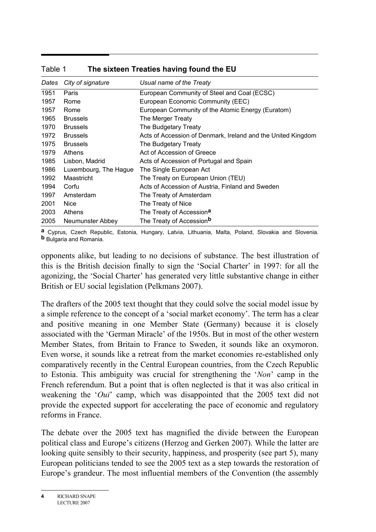| Dates | City of signature     | Usual name of the Treaty                                     |
|-------|-----------------------|--------------------------------------------------------------|
| 1951  | Paris                 | European Community of Steel and Coal (ECSC)                  |
| 1957  | Rome                  | European Economic Community (EEC)                            |
| 1957  | Rome                  | European Community of the Atomic Energy (Euratom)            |
| 1965  | <b>Brussels</b>       | The Merger Treaty                                            |
| 1970  | <b>Brussels</b>       | The Budgetary Treaty                                         |
| 1972  | <b>Brussels</b>       | Acts of Accession of Denmark, Ireland and the United Kingdom |
| 1975  | <b>Brussels</b>       | The Budgetary Treaty                                         |
| 1979  | Athens                | Act of Accession of Greece                                   |
| 1985  | Lisbon, Madrid        | Acts of Accession of Portugal and Spain                      |
| 1986  | Luxembourg, The Hague | The Single European Act                                      |
| 1992  | Maastricht            | The Treaty on European Union (TEU)                           |
| 1994  | Corfu                 | Acts of Accession of Austria, Finland and Sweden             |
| 1997  | Amsterdam             | The Treaty of Amsterdam                                      |
| 2001  | <b>Nice</b>           | The Treaty of Nice                                           |
| 2003  | Athens                | The Treaty of Accession <sup>a</sup>                         |
| 2005  | Neumunster Abbey      | The Treaty of Accession <sup>b</sup>                         |

| Table 1 | The sixteen Treaties having found the EU |
|---------|------------------------------------------|
|         |                                          |

**<sup>a</sup>** Cyprus, Czech Republic, Estonia, Hungary, Latvia, Lithuania, Malta, Poland, Slovakia and Slovenia. **b** Bulgaria and Romania.

opponents alike, but leading to no decisions of substance. The best illustration of this is the British decision finally to sign the 'Social Charter' in 1997: for all the agonizing, the 'Social Charter' has generated very little substantive change in either British or EU social legislation (Pelkmans 2007).

The drafters of the 2005 text thought that they could solve the social model issue by a simple reference to the concept of a 'social market economy'. The term has a clear and positive meaning in one Member State (Germany) because it is closely associated with the 'German Miracle' of the 1950s. But in most of the other western Member States, from Britain to France to Sweden, it sounds like an oxymoron. Even worse, it sounds like a retreat from the market economies re-established only comparatively recently in the Central European countries, from the Czech Republic to Estonia. This ambiguity was crucial for strengthening the '*Non*' camp in the French referendum. But a point that is often neglected is that it was also critical in weakening the '*Oui*' camp, which was disappointed that the 2005 text did not provide the expected support for accelerating the pace of economic and regulatory reforms in France.

The debate over the 2005 text has magnified the divide between the European political class and Europe's citizens (Herzog and Gerken 2007). While the latter are looking quite sensibly to their security, happiness, and prosperity (see part 5), many European politicians tended to see the 2005 text as a step towards the restoration of Europe's grandeur. The most influential members of the Convention (the assembly

**<sup>4</sup>** RICHARD SNAPE LECTURE 2007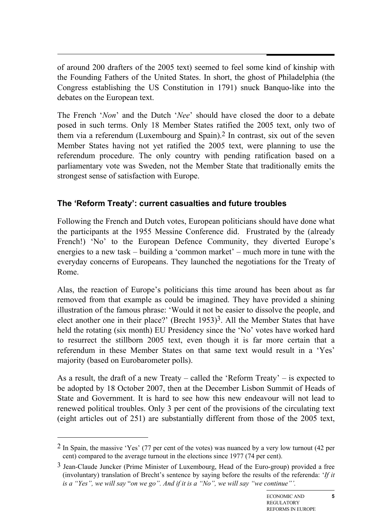of around 200 drafters of the 2005 text) seemed to feel some kind of kinship with the Founding Fathers of the United States. In short, the ghost of Philadelphia (the Congress establishing the US Constitution in 1791) snuck Banquo-like into the debates on the European text.

The French '*Non*' and the Dutch '*Nee*' should have closed the door to a debate posed in such terms. Only 18 Member States ratified the 2005 text, only two of them via a referendum (Luxembourg and Spain).2 In contrast, six out of the seven Member States having not yet ratified the 2005 text, were planning to use the referendum procedure. The only country with pending ratification based on a parliamentary vote was Sweden, not the Member State that traditionally emits the strongest sense of satisfaction with Europe.

### **The 'Reform Treaty': current casualties and future troubles**

Following the French and Dutch votes, European politicians should have done what the participants at the 1955 Messine Conference did. Frustrated by the (already French!) 'No' to the European Defence Community, they diverted Europe's energies to a new task – building a 'common market' – much more in tune with the everyday concerns of Europeans. They launched the negotiations for the Treaty of Rome.

Alas, the reaction of Europe's politicians this time around has been about as far removed from that example as could be imagined. They have provided a shining illustration of the famous phrase: 'Would it not be easier to dissolve the people, and elect another one in their place?' (Brecht 1953)<sup>3</sup>. All the Member States that have held the rotating (six month) EU Presidency since the 'No' votes have worked hard to resurrect the stillborn 2005 text, even though it is far more certain that a referendum in these Member States on that same text would result in a 'Yes' majority (based on Eurobarometer polls).

As a result, the draft of a new Treaty – called the 'Reform Treaty' – is expected to be adopted by 18 October 2007, then at the December Lisbon Summit of Heads of State and Government. It is hard to see how this new endeavour will not lead to renewed political troubles. Only 3 per cent of the provisions of the circulating text (eight articles out of 251) are substantially different from those of the 2005 text,

 $\overline{a}$ 

<sup>2</sup> In Spain, the massive 'Yes' (77 per cent of the votes) was nuanced by a very low turnout (42 per cent) compared to the average turnout in the elections since 1977 (74 per cent).

 $3$  Jean-Claude Juncker (Prime Minister of Luxembourg, Head of the Euro-group) provided a free (involuntary) translation of Brecht's sentence by saying before the results of the referenda: '*If it is a "Yes", we will say* "*on we go". And if it is a "No", we will say "we continue"'.*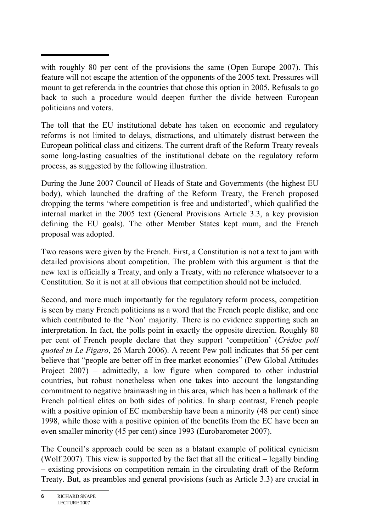with roughly 80 per cent of the provisions the same (Open Europe 2007). This feature will not escape the attention of the opponents of the 2005 text. Pressures will mount to get referenda in the countries that chose this option in 2005. Refusals to go back to such a procedure would deepen further the divide between European politicians and voters.

The toll that the EU institutional debate has taken on economic and regulatory reforms is not limited to delays, distractions, and ultimately distrust between the European political class and citizens. The current draft of the Reform Treaty reveals some long-lasting casualties of the institutional debate on the regulatory reform process, as suggested by the following illustration.

During the June 2007 Council of Heads of State and Governments (the highest EU body), which launched the drafting of the Reform Treaty, the French proposed dropping the terms 'where competition is free and undistorted', which qualified the internal market in the 2005 text (General Provisions Article 3.3, a key provision defining the EU goals). The other Member States kept mum, and the French proposal was adopted.

Two reasons were given by the French. First, a Constitution is not a text to jam with detailed provisions about competition. The problem with this argument is that the new text is officially a Treaty, and only a Treaty, with no reference whatsoever to a Constitution. So it is not at all obvious that competition should not be included.

Second, and more much importantly for the regulatory reform process, competition is seen by many French politicians as a word that the French people dislike, and one which contributed to the 'Non' majority. There is no evidence supporting such an interpretation. In fact, the polls point in exactly the opposite direction. Roughly 80 per cent of French people declare that they support 'competition' (*Crédoc poll quoted in Le Figaro*, 26 March 2006). A recent Pew poll indicates that 56 per cent believe that "people are better off in free market economies" (Pew Global Attitudes Project 2007) – admittedly, a low figure when compared to other industrial countries, but robust nonetheless when one takes into account the longstanding commitment to negative brainwashing in this area, which has been a hallmark of the French political elites on both sides of politics. In sharp contrast, French people with a positive opinion of EC membership have been a minority (48 per cent) since 1998, while those with a positive opinion of the benefits from the EC have been an even smaller minority (45 per cent) since 1993 (Eurobarometer 2007).

The Council's approach could be seen as a blatant example of political cynicism (Wolf 2007). This view is supported by the fact that all the critical – legally binding – existing provisions on competition remain in the circulating draft of the Reform Treaty. But, as preambles and general provisions (such as Article 3.3) are crucial in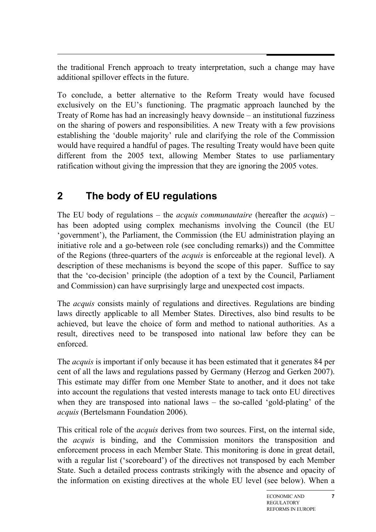the traditional French approach to treaty interpretation, such a change may have additional spillover effects in the future.

To conclude, a better alternative to the Reform Treaty would have focused exclusively on the EU's functioning. The pragmatic approach launched by the Treaty of Rome has had an increasingly heavy downside – an institutional fuzziness on the sharing of powers and responsibilities. A new Treaty with a few provisions establishing the 'double majority' rule and clarifying the role of the Commission would have required a handful of pages. The resulting Treaty would have been quite different from the 2005 text, allowing Member States to use parliamentary ratification without giving the impression that they are ignoring the 2005 votes.

### **2 The body of EU regulations**

The EU body of regulations – the *acquis communautaire* (hereafter the *acquis*) – has been adopted using complex mechanisms involving the Council (the EU 'government'), the Parliament, the Commission (the EU administration playing an initiative role and a go-between role (see concluding remarks)) and the Committee of the Regions (three-quarters of the *acquis* is enforceable at the regional level). A description of these mechanisms is beyond the scope of this paper. Suffice to say that the 'co-decision' principle (the adoption of a text by the Council, Parliament and Commission) can have surprisingly large and unexpected cost impacts.

The *acquis* consists mainly of regulations and directives. Regulations are binding laws directly applicable to all Member States. Directives, also bind results to be achieved, but leave the choice of form and method to national authorities. As a result, directives need to be transposed into national law before they can be enforced.

The *acquis* is important if only because it has been estimated that it generates 84 per cent of all the laws and regulations passed by Germany (Herzog and Gerken 2007). This estimate may differ from one Member State to another, and it does not take into account the regulations that vested interests manage to tack onto EU directives when they are transposed into national laws – the so-called 'gold-plating' of the *acquis* (Bertelsmann Foundation 2006).

This critical role of the *acquis* derives from two sources. First, on the internal side, the *acquis* is binding, and the Commission monitors the transposition and enforcement process in each Member State. This monitoring is done in great detail, with a regular list ('scoreboard') of the directives not transposed by each Member State. Such a detailed process contrasts strikingly with the absence and opacity of the information on existing directives at the whole EU level (see below). When a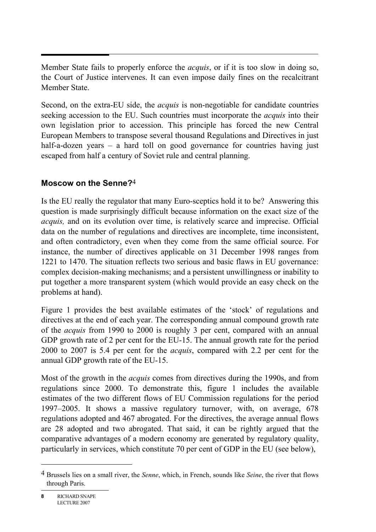$\overline{a}$ Member State fails to properly enforce the *acquis*, or if it is too slow in doing so, the Court of Justice intervenes. It can even impose daily fines on the recalcitrant Member State.

Second, on the extra-EU side, the *acquis* is non-negotiable for candidate countries seeking accession to the EU. Such countries must incorporate the *acquis* into their own legislation prior to accession. This principle has forced the new Central European Members to transpose several thousand Regulations and Directives in just half-a-dozen years – a hard toll on good governance for countries having just escaped from half a century of Soviet rule and central planning.

### **Moscow on the Senne?**4

Is the EU really the regulator that many Euro-sceptics hold it to be? Answering this question is made surprisingly difficult because information on the exact size of the *acquis,* and on its evolution over time, is relatively scarce and imprecise. Official data on the number of regulations and directives are incomplete, time inconsistent, and often contradictory, even when they come from the same official source. For instance, the number of directives applicable on 31 December 1998 ranges from 1221 to 1470. The situation reflects two serious and basic flaws in EU governance: complex decision-making mechanisms; and a persistent unwillingness or inability to put together a more transparent system (which would provide an easy check on the problems at hand).

Figure 1 provides the best available estimates of the 'stock' of regulations and directives at the end of each year. The corresponding annual compound growth rate of the *acquis* from 1990 to 2000 is roughly 3 per cent, compared with an annual GDP growth rate of 2 per cent for the EU-15. The annual growth rate for the period 2000 to 2007 is 5.4 per cent for the *acquis*, compared with 2.2 per cent for the annual GDP growth rate of the EU-15.

Most of the growth in the *acquis* comes from directives during the 1990s, and from regulations since 2000. To demonstrate this, figure 1 includes the available estimates of the two different flows of EU Commission regulations for the period 1997–2005. It shows a massive regulatory turnover, with, on average, 678 regulations adopted and 467 abrogated. For the directives, the average annual flows are 28 adopted and two abrogated. That said, it can be rightly argued that the comparative advantages of a modern economy are generated by regulatory quality, particularly in services, which constitute 70 per cent of GDP in the EU (see below),

 $\overline{a}$ 

<sup>4</sup> Brussels lies on a small river, the *Senne*, which, in French, sounds like *Seine*, the river that flows through Paris.

**<sup>8</sup>** RICHARD SNAPE LECTURE 2007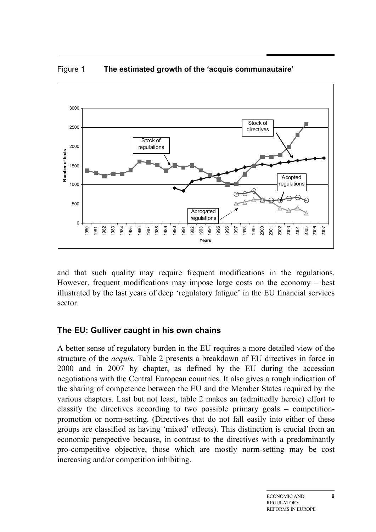



and that such quality may require frequent modifications in the regulations. However, frequent modifications may impose large costs on the economy – best illustrated by the last years of deep 'regulatory fatigue' in the EU financial services sector.

#### **The EU: Gulliver caught in his own chains**

A better sense of regulatory burden in the EU requires a more detailed view of the structure of the *acquis*. Table 2 presents a breakdown of EU directives in force in 2000 and in 2007 by chapter, as defined by the EU during the accession negotiations with the Central European countries. It also gives a rough indication of the sharing of competence between the EU and the Member States required by the various chapters. Last but not least, table 2 makes an (admittedly heroic) effort to classify the directives according to two possible primary goals – competitionpromotion or norm-setting. (Directives that do not fall easily into either of these groups are classified as having 'mixed' effects). This distinction is crucial from an economic perspective because, in contrast to the directives with a predominantly pro-competitive objective, those which are mostly norm-setting may be cost increasing and/or competition inhibiting.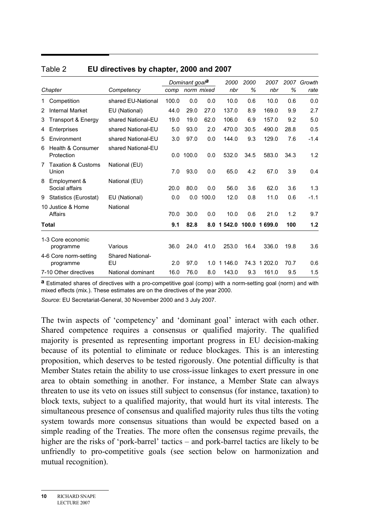|    |                                        |                               | Dominant goal <sup>a</sup> |       | 2000       | 2000    | 2007 |               | 2007 Growth |        |
|----|----------------------------------------|-------------------------------|----------------------------|-------|------------|---------|------|---------------|-------------|--------|
|    | Chapter                                | Competency                    | comp                       |       | norm mixed | nbr     | ℅    | nbr           | %           | rate   |
| 1. | Competition                            | shared EU-National            | 100.0                      | 0.0   | 0.0        | 10.0    | 0.6  | 10.0          | 0.6         | 0.0    |
| 2  | Internal Market                        | EU (National)                 | 44.0                       | 29.0  | 27.0       | 137.0   | 8.9  | 169.0         | 9.9         | 2.7    |
| 3  | Transport & Energy                     | shared National-EU            | 19.0                       | 19.0  | 62.0       | 106.0   | 6.9  | 157.0         | 9.2         | 5.0    |
| 4  | Enterprises                            | shared National-EU            | 5.0                        | 93.0  | 2.0        | 470.0   | 30.5 | 490.0         | 28.8        | 0.5    |
| 5  | Environment                            | shared National-EU            | 3.0                        | 97.0  | 0.0        | 144.0   | 9.3  | 129.0         | 7.6         | $-1.4$ |
| 6  | Health & Consumer<br>Protection        | shared National-EU            | 0.0                        | 100.0 | 0.0        | 532.0   | 34.5 | 583.0         | 34.3        | 1.2    |
| 7  | <b>Taxation &amp; Customs</b><br>Union | National (EU)                 | 7.0                        | 93.0  | 0.0        | 65.0    | 4.2  | 67.0          | 3.9         | 0.4    |
| 8  | Employment &<br>Social affairs         | National (EU)                 | 20.0                       | 80.0  | 0.0        | 56.0    | 3.6  | 62.0          | 3.6         | 1.3    |
| 9  | Statistics (Eurostat)                  | EU (National)                 | 0.0                        | 0.0   | 100.0      | 12.0    | 0.8  | 11.0          | 0.6         | $-1.1$ |
|    | 10 Justice & Home<br>Affairs           | National                      | 70.0                       | 30.0  | 0.0        | 10.0    | 0.6  | 21.0          | 1.2         | 9.7    |
|    | <b>Total</b>                           |                               | 9.1                        | 82.8  | 8.0        | 1 542.0 |      | 100.0 1 699.0 | 100         | 1.2    |
|    | 1-3 Core economic                      |                               |                            |       |            |         |      |               |             |        |
|    | programme                              | Various                       | 36.0                       | 24.0  | 41.0       | 253.0   | 16.4 | 336.0         | 19.8        | 3.6    |
|    | 4-6 Core norm-setting<br>programme     | <b>Shared National-</b><br>EU | 2.0                        | 97.0  | 1.0        | 1 146.0 | 74.3 | 1 202.0       | 70.7        | 0.6    |
|    | 7-10 Other directives                  | National dominant             | 16.0                       | 76.0  | 8.0        | 143.0   | 9.3  | 161.0         | 9.5         | 1.5    |

| Table 2 |  | EU directives by chapter, 2000 and 2007 |
|---------|--|-----------------------------------------|
|         |  |                                         |

**a** Estimated shares of directives with a pro-competitive goal (comp) with a norm-setting goal (norm) and with mixed effects (mix.). These estimates are on the directives of the year 2000.

*Source*: EU Secretariat-General, 30 November 2000 and 3 July 2007.

The twin aspects of 'competency' and 'dominant goal' interact with each other. Shared competence requires a consensus or qualified majority. The qualified majority is presented as representing important progress in EU decision-making because of its potential to eliminate or reduce blockages. This is an interesting proposition, which deserves to be tested rigorously. One potential difficulty is that Member States retain the ability to use cross-issue linkages to exert pressure in one area to obtain something in another. For instance, a Member State can always threaten to use its veto on issues still subject to consensus (for instance, taxation) to block texts, subject to a qualified majority, that would hurt its vital interests. The simultaneous presence of consensus and qualified majority rules thus tilts the voting system towards more consensus situations than would be expected based on a simple reading of the Treaties. The more often the consensus regime prevails, the higher are the risks of 'pork-barrel' tactics – and pork-barrel tactics are likely to be unfriendly to pro-competitive goals (see section below on harmonization and mutual recognition).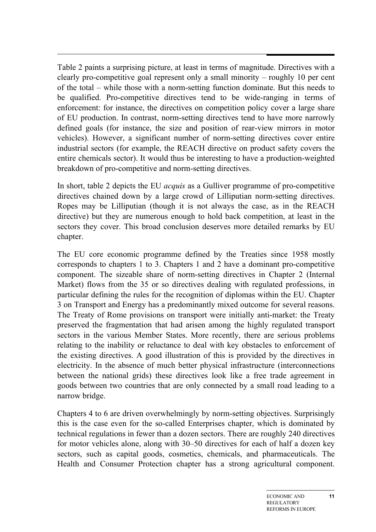$\overline{a}$ Table 2 paints a surprising picture, at least in terms of magnitude. Directives with a clearly pro-competitive goal represent only a small minority – roughly 10 per cent of the total – while those with a norm-setting function dominate. But this needs to be qualified. Pro-competitive directives tend to be wide-ranging in terms of enforcement: for instance, the directives on competition policy cover a large share of EU production. In contrast, norm-setting directives tend to have more narrowly defined goals (for instance, the size and position of rear-view mirrors in motor vehicles). However, a significant number of norm-setting directives cover entire industrial sectors (for example, the REACH directive on product safety covers the entire chemicals sector). It would thus be interesting to have a production-weighted breakdown of pro-competitive and norm-setting directives.

In short, table 2 depicts the EU *acquis* as a Gulliver programme of pro-competitive directives chained down by a large crowd of Lilliputian norm-setting directives. Ropes may be Lilliputian (though it is not always the case, as in the REACH directive) but they are numerous enough to hold back competition, at least in the sectors they cover. This broad conclusion deserves more detailed remarks by EU chapter.

The EU core economic programme defined by the Treaties since 1958 mostly corresponds to chapters 1 to 3. Chapters 1 and 2 have a dominant pro-competitive component. The sizeable share of norm-setting directives in Chapter 2 (Internal Market) flows from the 35 or so directives dealing with regulated professions, in particular defining the rules for the recognition of diplomas within the EU. Chapter 3 on Transport and Energy has a predominantly mixed outcome for several reasons. The Treaty of Rome provisions on transport were initially anti-market: the Treaty preserved the fragmentation that had arisen among the highly regulated transport sectors in the various Member States. More recently, there are serious problems relating to the inability or reluctance to deal with key obstacles to enforcement of the existing directives. A good illustration of this is provided by the directives in electricity. In the absence of much better physical infrastructure (interconnections between the national grids) these directives look like a free trade agreement in goods between two countries that are only connected by a small road leading to a narrow bridge.

Chapters 4 to 6 are driven overwhelmingly by norm-setting objectives. Surprisingly this is the case even for the so-called Enterprises chapter, which is dominated by technical regulations in fewer than a dozen sectors. There are roughly 240 directives for motor vehicles alone, along with 30–50 directives for each of half a dozen key sectors, such as capital goods, cosmetics, chemicals, and pharmaceuticals. The Health and Consumer Protection chapter has a strong agricultural component.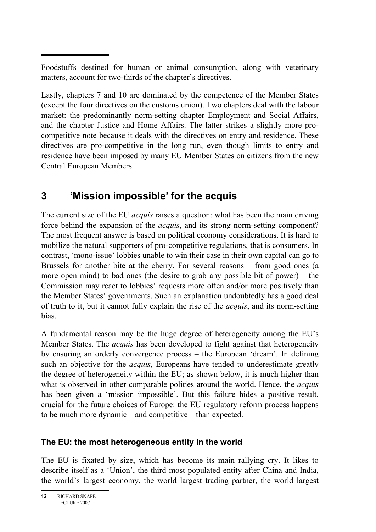$\overline{a}$ Foodstuffs destined for human or animal consumption, along with veterinary matters, account for two-thirds of the chapter's directives.

Lastly, chapters 7 and 10 are dominated by the competence of the Member States (except the four directives on the customs union). Two chapters deal with the labour market: the predominantly norm-setting chapter Employment and Social Affairs, and the chapter Justice and Home Affairs. The latter strikes a slightly more procompetitive note because it deals with the directives on entry and residence. These directives are pro-competitive in the long run, even though limits to entry and residence have been imposed by many EU Member States on citizens from the new Central European Members.

### **3 'Mission impossible' for the acquis**

The current size of the EU *acquis* raises a question: what has been the main driving force behind the expansion of the *acquis*, and its strong norm-setting component? The most frequent answer is based on political economy considerations. It is hard to mobilize the natural supporters of pro-competitive regulations, that is consumers. In contrast, 'mono-issue' lobbies unable to win their case in their own capital can go to Brussels for another bite at the cherry. For several reasons – from good ones (a more open mind) to bad ones (the desire to grab any possible bit of power) – the Commission may react to lobbies' requests more often and/or more positively than the Member States' governments. Such an explanation undoubtedly has a good deal of truth to it, but it cannot fully explain the rise of the *acquis*, and its norm-setting bias.

A fundamental reason may be the huge degree of heterogeneity among the EU's Member States. The *acquis* has been developed to fight against that heterogeneity by ensuring an orderly convergence process – the European 'dream'. In defining such an objective for the *acquis*, Europeans have tended to underestimate greatly the degree of heterogeneity within the EU; as shown below, it is much higher than what is observed in other comparable polities around the world. Hence, the *acquis* has been given a 'mission impossible'. But this failure hides a positive result, crucial for the future choices of Europe: the EU regulatory reform process happens to be much more dynamic – and competitive – than expected.

### **The EU: the most heterogeneous entity in the world**

The EU is fixated by size, which has become its main rallying cry. It likes to describe itself as a 'Union', the third most populated entity after China and India, the world's largest economy, the world largest trading partner, the world largest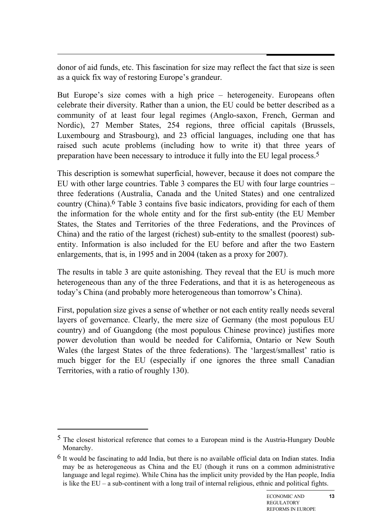donor of aid funds, etc. This fascination for size may reflect the fact that size is seen as a quick fix way of restoring Europe's grandeur.

But Europe's size comes with a high price – heterogeneity. Europeans often celebrate their diversity. Rather than a union, the EU could be better described as a community of at least four legal regimes (Anglo-saxon, French, German and Nordic), 27 Member States, 254 regions, three official capitals (Brussels, Luxembourg and Strasbourg), and 23 official languages, including one that has raised such acute problems (including how to write it) that three years of preparation have been necessary to introduce it fully into the EU legal process.5

This description is somewhat superficial, however, because it does not compare the EU with other large countries. Table 3 compares the EU with four large countries – three federations (Australia, Canada and the United States) and one centralized country (China).6 Table 3 contains five basic indicators, providing for each of them the information for the whole entity and for the first sub-entity (the EU Member States, the States and Territories of the three Federations, and the Provinces of China) and the ratio of the largest (richest) sub-entity to the smallest (poorest) subentity. Information is also included for the EU before and after the two Eastern enlargements, that is, in 1995 and in 2004 (taken as a proxy for 2007).

The results in table 3 are quite astonishing. They reveal that the EU is much more heterogeneous than any of the three Federations, and that it is as heterogeneous as today's China (and probably more heterogeneous than tomorrow's China).

First, population size gives a sense of whether or not each entity really needs several layers of governance. Clearly, the mere size of Germany (the most populous EU country) and of Guangdong (the most populous Chinese province) justifies more power devolution than would be needed for California, Ontario or New South Wales (the largest States of the three federations). The 'largest/smallest' ratio is much bigger for the EU (especially if one ignores the three small Canadian Territories, with a ratio of roughly 130).

 $\overline{a}$ 

<sup>5</sup> The closest historical reference that comes to a European mind is the Austria-Hungary Double Monarchy.

<sup>6</sup> It would be fascinating to add India, but there is no available official data on Indian states. India may be as heterogeneous as China and the EU (though it runs on a common administrative language and legal regime). While China has the implicit unity provided by the Han people, India is like the EU – a sub-continent with a long trail of internal religious, ethnic and political fights.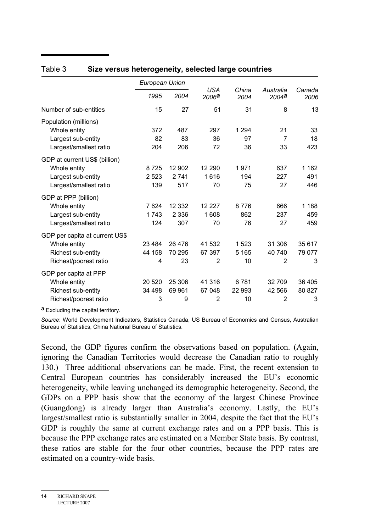|                                | European Union |         |                     |               |                                |                |
|--------------------------------|----------------|---------|---------------------|---------------|--------------------------------|----------------|
|                                | 1995           | 2004    | <b>USA</b><br>2006a | China<br>2004 | Australia<br>2004 <sup>a</sup> | Canada<br>2006 |
| Number of sub-entities         | 15             | 27      | 51                  | 31            | 8                              | 13             |
| Population (millions)          |                |         |                     |               |                                |                |
| Whole entity                   | 372            | 487     | 297                 | 1 2 9 4       | 21                             | 33             |
| Largest sub-entity             | 82             | 83      | 36                  | 97            | 7                              | 18             |
| Largest/smallest ratio         | 204            | 206     | 72                  | 36            | 33                             | 423            |
| GDP at current US\$ (billion)  |                |         |                     |               |                                |                |
| Whole entity                   | 8725           | 12 902  | 12 290              | 1971          | 637                            | 1 162          |
| Largest sub-entity             | 2 5 2 3        | 2 741   | 1616                | 194           | 227                            | 491            |
| Largest/smallest ratio         | 139            | 517     | 70                  | 75            | 27                             | 446            |
| GDP at PPP (billion)           |                |         |                     |               |                                |                |
| Whole entity                   | 7624           | 12 3 32 | 12 2 2 7            | 8776          | 666                            | 1 1 8 8        |
| Largest sub-entity             | 1743           | 2 3 3 6 | 1 608               | 862           | 237                            | 459            |
| Largest/smallest ratio         | 124            | 307     | 70                  | 76            | 27                             | 459            |
| GDP per capita at current US\$ |                |         |                     |               |                                |                |
| Whole entity                   | 23 4 84        | 26 476  | 41 532              | 1 5 2 3       | 31 306                         | 35 617         |
| Richest sub-entity             | 44 158         | 70 295  | 67 397              | 5 1 6 5       | 40 740                         | 79 077         |
| Richest/poorest ratio          | 4              | 23      | $\overline{2}$      | 10            | $\overline{2}$                 | 3              |
| GDP per capita at PPP          |                |         |                     |               |                                |                |
| Whole entity                   | 20 5 20        | 25 306  | 41 316              | 6781          | 32709                          | 36 405         |
| Richest sub-entity             | 34 498         | 69 961  | 67 048              | 22 993        | 42 566                         | 80 827         |
| Richest/poorest ratio          | 3              | 9       | 2                   | 10            | 2                              | 3              |

#### Table 3 **Size versus heterogeneity, selected large countries**

**a** Excluding the capital territory.

*Source*: World Development Indicators, Statistics Canada, US Bureau of Economics and Census, Australian Bureau of Statistics, China National Bureau of Statistics.

Second, the GDP figures confirm the observations based on population. (Again, ignoring the Canadian Territories would decrease the Canadian ratio to roughly 130.) Three additional observations can be made. First, the recent extension to Central European countries has considerably increased the EU's economic heterogeneity, while leaving unchanged its demographic heterogeneity. Second, the GDPs on a PPP basis show that the economy of the largest Chinese Province (Guangdong) is already larger than Australia's economy. Lastly, the EU's largest/smallest ratio is substantially smaller in 2004, despite the fact that the EU's GDP is roughly the same at current exchange rates and on a PPP basis. This is because the PPP exchange rates are estimated on a Member State basis. By contrast, these ratios are stable for the four other countries, because the PPP rates are estimated on a country-wide basis.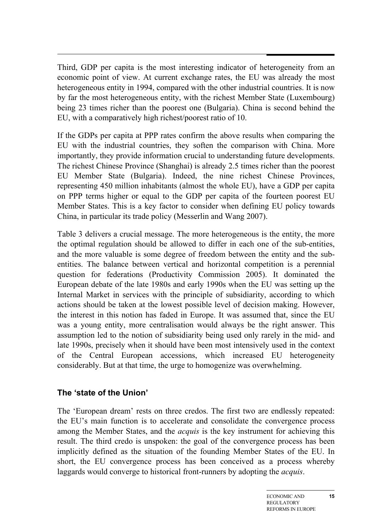$\overline{a}$ Third, GDP per capita is the most interesting indicator of heterogeneity from an economic point of view. At current exchange rates, the EU was already the most heterogeneous entity in 1994, compared with the other industrial countries. It is now by far the most heterogeneous entity, with the richest Member State (Luxembourg) being 23 times richer than the poorest one (Bulgaria). China is second behind the EU, with a comparatively high richest/poorest ratio of 10.

If the GDPs per capita at PPP rates confirm the above results when comparing the EU with the industrial countries, they soften the comparison with China. More importantly, they provide information crucial to understanding future developments. The richest Chinese Province (Shanghai) is already 2.5 times richer than the poorest EU Member State (Bulgaria). Indeed, the nine richest Chinese Provinces, representing 450 million inhabitants (almost the whole EU), have a GDP per capita on PPP terms higher or equal to the GDP per capita of the fourteen poorest EU Member States. This is a key factor to consider when defining EU policy towards China, in particular its trade policy (Messerlin and Wang 2007).

Table 3 delivers a crucial message. The more heterogeneous is the entity, the more the optimal regulation should be allowed to differ in each one of the sub-entities, and the more valuable is some degree of freedom between the entity and the subentities. The balance between vertical and horizontal competition is a perennial question for federations (Productivity Commission 2005). It dominated the European debate of the late 1980s and early 1990s when the EU was setting up the Internal Market in services with the principle of subsidiarity, according to which actions should be taken at the lowest possible level of decision making. However, the interest in this notion has faded in Europe. It was assumed that, since the EU was a young entity, more centralisation would always be the right answer. This assumption led to the notion of subsidiarity being used only rarely in the mid- and late 1990s, precisely when it should have been most intensively used in the context of the Central European accessions, which increased EU heterogeneity considerably. But at that time, the urge to homogenize was overwhelming.

### **The 'state of the Union'**

The 'European dream' rests on three credos. The first two are endlessly repeated: the EU's main function is to accelerate and consolidate the convergence process among the Member States, and the *acquis* is the key instrument for achieving this result. The third credo is unspoken: the goal of the convergence process has been implicitly defined as the situation of the founding Member States of the EU. In short, the EU convergence process has been conceived as a process whereby laggards would converge to historical front-runners by adopting the *acquis*.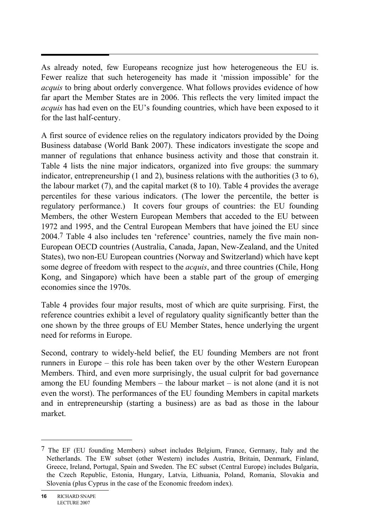As already noted, few Europeans recognize just how heterogeneous the EU is. Fewer realize that such heterogeneity has made it 'mission impossible' for the *acquis* to bring about orderly convergence. What follows provides evidence of how far apart the Member States are in 2006. This reflects the very limited impact the *acquis* has had even on the EU's founding countries, which have been exposed to it for the last half-century.

A first source of evidence relies on the regulatory indicators provided by the Doing Business database (World Bank 2007). These indicators investigate the scope and manner of regulations that enhance business activity and those that constrain it. Table 4 lists the nine major indicators, organized into five groups: the summary indicator, entrepreneurship (1 and 2), business relations with the authorities (3 to 6), the labour market (7), and the capital market (8 to 10). Table 4 provides the average percentiles for these various indicators. (The lower the percentile, the better is regulatory performance.) It covers four groups of countries: the EU founding Members, the other Western European Members that acceded to the EU between 1972 and 1995, and the Central European Members that have joined the EU since 2004.7 Table 4 also includes ten 'reference' countries, namely the five main non-European OECD countries (Australia, Canada, Japan, New-Zealand, and the United States), two non-EU European countries (Norway and Switzerland) which have kept some degree of freedom with respect to the *acquis*, and three countries (Chile, Hong Kong, and Singapore) which have been a stable part of the group of emerging economies since the 1970s.

Table 4 provides four major results, most of which are quite surprising. First, the reference countries exhibit a level of regulatory quality significantly better than the one shown by the three groups of EU Member States, hence underlying the urgent need for reforms in Europe.

Second, contrary to widely-held belief, the EU founding Members are not front runners in Europe – this role has been taken over by the other Western European Members. Third, and even more surprisingly, the usual culprit for bad governance among the EU founding Members – the labour market – is not alone (and it is not even the worst). The performances of the EU founding Members in capital markets and in entrepreneurship (starting a business) are as bad as those in the labour market.

 $\overline{a}$ 

<sup>7</sup> The EF (EU founding Members) subset includes Belgium, France, Germany, Italy and the Netherlands. The EW subset (other Western) includes Austria, Britain, Denmark, Finland, Greece, Ireland, Portugal, Spain and Sweden. The EC subset (Central Europe) includes Bulgaria, the Czech Republic, Estonia, Hungary, Latvia, Lithuania, Poland, Romania, Slovakia and Slovenia (plus Cyprus in the case of the Economic freedom index).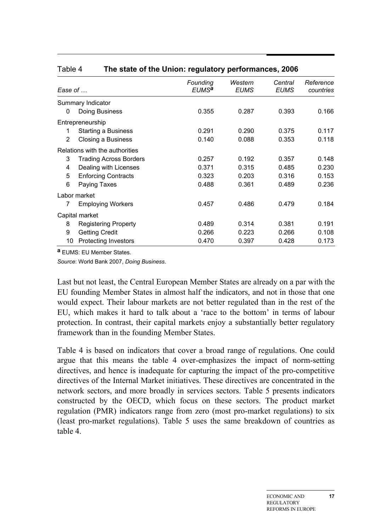| Ease of $\dots$ |                                | Founding<br><b>EUMS<sup>a</sup></b> | Western<br><b>EUMS</b> | Central<br><b>EUMS</b> | Reference<br>countries |
|-----------------|--------------------------------|-------------------------------------|------------------------|------------------------|------------------------|
|                 | Summary Indicator              |                                     |                        |                        |                        |
| 0               | Doing Business                 | 0.355                               | 0.287                  | 0.393                  | 0.166                  |
|                 | Entrepreneurship               |                                     |                        |                        |                        |
| 1               | <b>Starting a Business</b>     | 0.291                               | 0.290                  | 0.375                  | 0.117                  |
| $\overline{2}$  | Closing a Business             | 0.140                               | 0.088                  | 0.353                  | 0.118                  |
|                 | Relations with the authorities |                                     |                        |                        |                        |
| 3               | <b>Trading Across Borders</b>  | 0.257                               | 0.192                  | 0.357                  | 0.148                  |
| 4               | Dealing with Licenses          | 0.371                               | 0.315                  | 0.485                  | 0.230                  |
| 5               | <b>Enforcing Contracts</b>     | 0.323                               | 0.203                  | 0.316                  | 0.153                  |
| 6               | Paying Taxes                   | 0.488                               | 0.361                  | 0.489                  | 0.236                  |
|                 | Labor market                   |                                     |                        |                        |                        |
| 7               | <b>Employing Workers</b>       | 0.457                               | 0.486                  | 0.479                  | 0.184                  |
|                 | Capital market                 |                                     |                        |                        |                        |
| 8               | <b>Registering Property</b>    | 0.489                               | 0.314                  | 0.381                  | 0.191                  |
| 9               | <b>Getting Credit</b>          | 0.266                               | 0.223                  | 0.266                  | 0.108                  |
| 10              | <b>Protecting Investors</b>    | 0.470                               | 0.397                  | 0.428                  | 0.173                  |

#### Table 4 **The state of the Union: regulatory performances, 2006**

**a** EUMS: EU Member States.

*Source*: World Bank 2007, *Doing Business*.

Last but not least, the Central European Member States are already on a par with the EU founding Member States in almost half the indicators, and not in those that one would expect. Their labour markets are not better regulated than in the rest of the EU, which makes it hard to talk about a 'race to the bottom' in terms of labour protection. In contrast, their capital markets enjoy a substantially better regulatory framework than in the founding Member States.

Table 4 is based on indicators that cover a broad range of regulations. One could argue that this means the table 4 over-emphasizes the impact of norm-setting directives, and hence is inadequate for capturing the impact of the pro-competitive directives of the Internal Market initiatives. These directives are concentrated in the network sectors, and more broadly in services sectors. Table 5 presents indicators constructed by the OECD, which focus on these sectors. The product market regulation (PMR) indicators range from zero (most pro-market regulations) to six (least pro-market regulations). Table 5 uses the same breakdown of countries as table 4.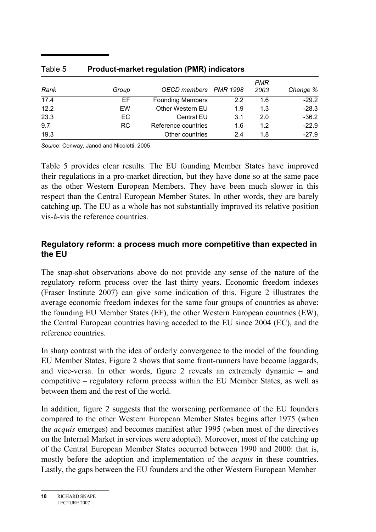| <b>Table 5</b> | Product-market regulation (PMR) indicators |                         |     |             |          |  |  |  |
|----------------|--------------------------------------------|-------------------------|-----|-------------|----------|--|--|--|
| Rank           | Group                                      | OECD members PMR 1998   |     | PMR<br>2003 | Change % |  |  |  |
| 17.4           | EF                                         | <b>Founding Members</b> | 2.2 | 1.6         | $-29.2$  |  |  |  |
| 12.2           | EW                                         | Other Western EU        | 1.9 | 1.3         | $-28.3$  |  |  |  |
| 23.3           | EC                                         | <b>Central EU</b>       | 3.1 | 2.0         | $-36.2$  |  |  |  |
| 9.7            | RC.                                        | Reference countries     | 1.6 | 1.2         | $-22.9$  |  |  |  |
| 19.3           |                                            | Other countries         | 2.4 | 1.8         | $-27.9$  |  |  |  |

#### $\pm$  . The  $\pm$ Table 5 **Product-market regulation (PMR) indicators**

*Source*: Conway, Janod and Nicoletti, 2005.

Table 5 provides clear results. The EU founding Member States have improved their regulations in a pro-market direction, but they have done so at the same pace as the other Western European Members. They have been much slower in this respect than the Central European Member States. In other words, they are barely catching up. The EU as a whole has not substantially improved its relative position vis-à-vis the reference countries.

#### **Regulatory reform: a process much more competitive than expected in the EU**

The snap-shot observations above do not provide any sense of the nature of the regulatory reform process over the last thirty years. Economic freedom indexes (Fraser Institute 2007) can give some indication of this. Figure 2 illustrates the average economic freedom indexes for the same four groups of countries as above: the founding EU Member States (EF), the other Western European countries (EW), the Central European countries having acceded to the EU since 2004 (EC), and the reference countries.

In sharp contrast with the idea of orderly convergence to the model of the founding EU Member States, Figure 2 shows that some front-runners have become laggards, and vice-versa. In other words, figure 2 reveals an extremely dynamic – and competitive – regulatory reform process within the EU Member States, as well as between them and the rest of the world.

In addition, figure 2 suggests that the worsening performance of the EU founders compared to the other Western European Member States begins after 1975 (when the *acquis* emerges) and becomes manifest after 1995 (when most of the directives on the Internal Market in services were adopted). Moreover, most of the catching up of the Central European Member States occurred between 1990 and 2000: that is, mostly before the adoption and implementation of the *acquis* in these countries. Lastly, the gaps between the EU founders and the other Western European Member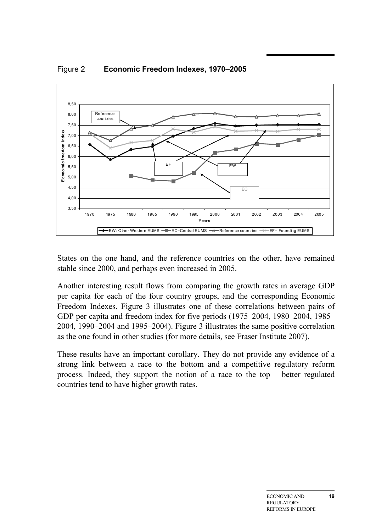

Figure 2 **Economic Freedom Indexes, 1970–2005** 

States on the one hand, and the reference countries on the other, have remained stable since 2000, and perhaps even increased in 2005.

Another interesting result flows from comparing the growth rates in average GDP per capita for each of the four country groups, and the corresponding Economic Freedom Indexes. Figure 3 illustrates one of these correlations between pairs of GDP per capita and freedom index for five periods (1975–2004, 1980–2004, 1985– 2004, 1990–2004 and 1995–2004). Figure 3 illustrates the same positive correlation as the one found in other studies (for more details, see Fraser Institute 2007).

These results have an important corollary. They do not provide any evidence of a strong link between a race to the bottom and a competitive regulatory reform process. Indeed, they support the notion of a race to the top – better regulated countries tend to have higher growth rates.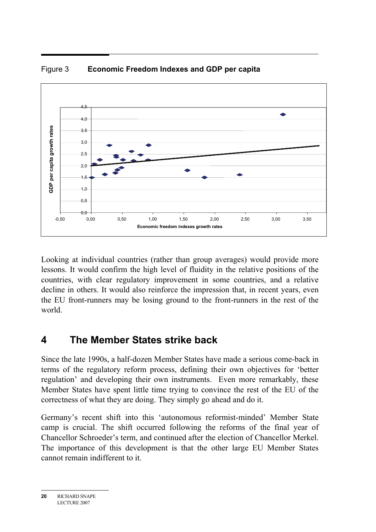

#### Figure 3 **Economic Freedom Indexes and GDP per capita**

Looking at individual countries (rather than group averages) would provide more lessons. It would confirm the high level of fluidity in the relative positions of the countries, with clear regulatory improvement in some countries, and a relative decline in others. It would also reinforce the impression that, in recent years, even the EU front-runners may be losing ground to the front-runners in the rest of the world.

### **4 The Member States strike back**

Since the late 1990s, a half-dozen Member States have made a serious come-back in terms of the regulatory reform process, defining their own objectives for 'better regulation' and developing their own instruments. Even more remarkably, these Member States have spent little time trying to convince the rest of the EU of the correctness of what they are doing. They simply go ahead and do it.

Germany's recent shift into this 'autonomous reformist-minded' Member State camp is crucial. The shift occurred following the reforms of the final year of Chancellor Schroeder's term, and continued after the election of Chancellor Merkel. The importance of this development is that the other large EU Member States cannot remain indifferent to it.

**<sup>20</sup>** RICHARD SNAPE LECTURE 2007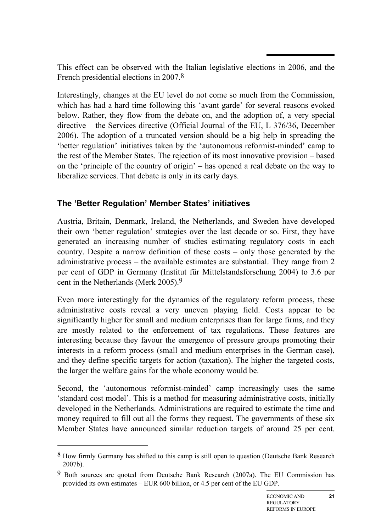$\overline{a}$ This effect can be observed with the Italian legislative elections in 2006, and the French presidential elections in 2007.8

Interestingly, changes at the EU level do not come so much from the Commission, which has had a hard time following this 'avant garde' for several reasons evoked below. Rather, they flow from the debate on, and the adoption of, a very special directive – the Services directive (Official Journal of the EU, L 376/36, December 2006). The adoption of a truncated version should be a big help in spreading the 'better regulation' initiatives taken by the 'autonomous reformist-minded' camp to the rest of the Member States. The rejection of its most innovative provision – based on the 'principle of the country of origin' – has opened a real debate on the way to liberalize services. That debate is only in its early days.

### **The 'Better Regulation' Member States' initiatives**

Austria, Britain, Denmark, Ireland, the Netherlands, and Sweden have developed their own 'better regulation' strategies over the last decade or so. First, they have generated an increasing number of studies estimating regulatory costs in each country. Despite a narrow definition of these costs – only those generated by the administrative process – the available estimates are substantial. They range from 2 per cent of GDP in Germany (Institut für Mittelstandsforschung 2004) to 3.6 per cent in the Netherlands (Merk 2005).9

Even more interestingly for the dynamics of the regulatory reform process, these administrative costs reveal a very uneven playing field. Costs appear to be significantly higher for small and medium enterprises than for large firms, and they are mostly related to the enforcement of tax regulations. These features are interesting because they favour the emergence of pressure groups promoting their interests in a reform process (small and medium enterprises in the German case), and they define specific targets for action (taxation). The higher the targeted costs, the larger the welfare gains for the whole economy would be.

Second, the 'autonomous reformist-minded' camp increasingly uses the same 'standard cost model'. This is a method for measuring administrative costs, initially developed in the Netherlands. Administrations are required to estimate the time and money required to fill out all the forms they request. The governments of these six Member States have announced similar reduction targets of around 25 per cent.

 $\overline{a}$ 

<sup>8</sup> How firmly Germany has shifted to this camp is still open to question (Deutsche Bank Research 2007b).

<sup>9</sup> Both sources are quoted from Deutsche Bank Research (2007a). The EU Commission has provided its own estimates – EUR 600 billion, or 4.5 per cent of the EU GDP.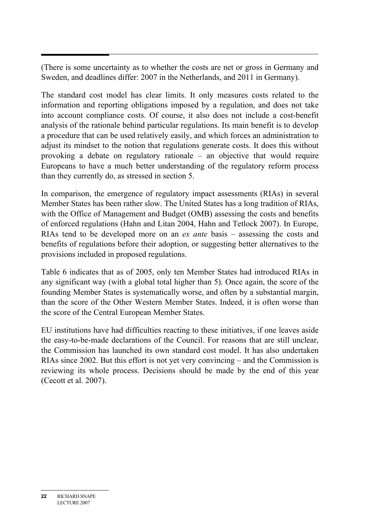$\overline{a}$ (There is some uncertainty as to whether the costs are net or gross in Germany and Sweden, and deadlines differ: 2007 in the Netherlands, and 2011 in Germany).

The standard cost model has clear limits. It only measures costs related to the information and reporting obligations imposed by a regulation, and does not take into account compliance costs. Of course, it also does not include a cost-benefit analysis of the rationale behind particular regulations. Its main benefit is to develop a procedure that can be used relatively easily, and which forces an administration to adjust its mindset to the notion that regulations generate costs. It does this without provoking a debate on regulatory rationale – an objective that would require Europeans to have a much better understanding of the regulatory reform process than they currently do, as stressed in section 5.

In comparison, the emergence of regulatory impact assessments (RIAs) in several Member States has been rather slow. The United States has a long tradition of RIAs, with the Office of Management and Budget (OMB) assessing the costs and benefits of enforced regulations (Hahn and Litan 2004, Hahn and Tetlock 2007). In Europe, RIAs tend to be developed more on an *ex ante* basis – assessing the costs and benefits of regulations before their adoption, or suggesting better alternatives to the provisions included in proposed regulations.

Table 6 indicates that as of 2005, only ten Member States had introduced RIAs in any significant way (with a global total higher than 5). Once again, the score of the founding Member States is systematically worse, and often by a substantial margin, than the score of the Other Western Member States. Indeed, it is often worse than the score of the Central European Member States.

EU institutions have had difficulties reacting to these initiatives, if one leaves aside the easy-to-be-made declarations of the Council. For reasons that are still unclear, the Commission has launched its own standard cost model. It has also undertaken RIAs since 2002. But this effort is not yet very convincing – and the Commission is reviewing its whole process. Decisions should be made by the end of this year (Cecott et al. 2007).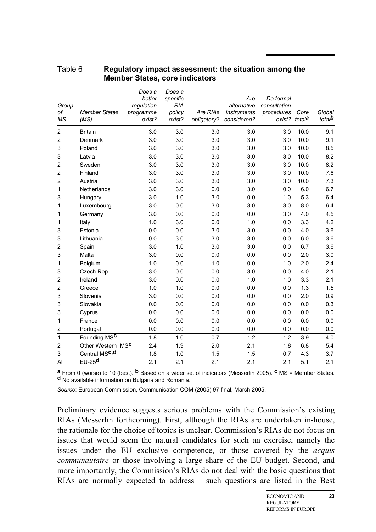| Group<br>оf<br><b>MS</b> | <b>Member States</b><br>(MS) | Does a<br>better<br>regulation<br>programme<br>exist? | Does a<br>specific<br><b>RIA</b><br>policy<br>exist? | Are RIAs<br>obligatory? | Are<br>alternative<br>instruments<br>considered? | Do formal<br>consultation<br>procedures<br>exist? | Core<br>total <sup>a</sup> | Global<br>total <sup>b</sup> |
|--------------------------|------------------------------|-------------------------------------------------------|------------------------------------------------------|-------------------------|--------------------------------------------------|---------------------------------------------------|----------------------------|------------------------------|
| $\overline{2}$           | <b>Britain</b>               | 3.0                                                   | 3.0                                                  | 3.0                     | 3.0                                              | 3.0                                               | 10.0                       | 9.1                          |
| $\overline{2}$           | Denmark                      | 3.0                                                   | 3.0                                                  | 3.0                     | 3.0                                              | 3.0                                               | 10.0                       | 9.1                          |
| 3                        | Poland                       | 3.0                                                   | 3.0                                                  | 3.0                     | 3.0                                              | 3.0                                               | 10.0                       | 8.5                          |
| 3                        | Latvia                       | 3.0                                                   | 3.0                                                  | 3.0                     | 3.0                                              | 3.0                                               | 10.0                       | 8.2                          |
| $\mathbf 2$              | Sweden                       | 3.0                                                   | 3.0                                                  | 3.0                     | 3.0                                              | 3.0                                               | 10.0                       | 8.2                          |
| $\overline{2}$           | Finland                      | 3.0                                                   | 3.0                                                  | 3.0                     | 3.0                                              | 3.0                                               | 10.0                       | 7.6                          |
| $\overline{2}$           | Austria                      | 3.0                                                   | 3.0                                                  | 3.0                     | 3.0                                              | 3.0                                               | 10.0                       | 7.3                          |
| $\mathbf{1}$             | Netherlands                  | 3.0                                                   | 3.0                                                  | 0.0                     | 3.0                                              | 0.0                                               | 6.0                        | 6.7                          |
| 3                        | Hungary                      | 3.0                                                   | 1.0                                                  | 3.0                     | 0.0                                              | 1.0                                               | 5.3                        | 6.4                          |
| 1                        | Luxembourg                   | 3.0                                                   | 0.0                                                  | 3.0                     | 3.0                                              | 3.0                                               | 8.0                        | 6.4                          |
| 1                        | Germany                      | 3.0                                                   | 0.0                                                  | 0.0                     | 0.0                                              | 3.0                                               | 4.0                        | 4.5                          |
| 1                        | Italy                        | 1.0                                                   | 3.0                                                  | 0.0                     | 1.0                                              | 0.0                                               | 3.3                        | 4.2                          |
| 3                        | Estonia                      | 0.0                                                   | 0.0                                                  | 3.0                     | 3.0                                              | 0.0                                               | 4.0                        | 3.6                          |
| 3                        | Lithuania                    | 0.0                                                   | 3.0                                                  | 3.0                     | 3.0                                              | 0.0                                               | 6.0                        | 3.6                          |
| $\overline{c}$           | Spain                        | 3.0                                                   | 1.0                                                  | 3.0                     | 3.0                                              | 0.0                                               | 6.7                        | 3.6                          |
| 3                        | Malta                        | 3.0                                                   | 0.0                                                  | 0.0                     | 0.0                                              | 0.0                                               | 2.0                        | 3.0                          |
| 1                        | Belgium                      | 1.0                                                   | 0.0                                                  | 1.0                     | 0.0                                              | 1.0                                               | 2.0                        | 2.4                          |
| 3                        | Czech Rep                    | 3.0                                                   | 0.0                                                  | 0.0                     | 3.0                                              | 0.0                                               | 4.0                        | 2.1                          |
| $\overline{2}$           | Ireland                      | 3.0                                                   | 0.0                                                  | 0.0                     | 1.0                                              | 1.0                                               | 3.3                        | 2.1                          |
| $\overline{2}$           | Greece                       | 1.0                                                   | 1.0                                                  | 0.0                     | 0.0                                              | 0.0                                               | 1.3                        | 1.5                          |
| 3                        | Slovenia                     | 3.0                                                   | 0.0                                                  | 0.0                     | 0.0                                              | 0.0                                               | 2.0                        | 0.9                          |
| 3                        | Slovakia                     | 0.0                                                   | 0.0                                                  | 0.0                     | 0.0                                              | 0.0                                               | 0.0                        | 0.3                          |
| 3                        | Cyprus                       | 0.0                                                   | 0.0                                                  | 0.0                     | $0.0\,$                                          | 0.0                                               | 0.0                        | 0.0                          |
| 1                        | France                       | 0.0                                                   | 0.0                                                  | 0.0                     | 0.0                                              | 0.0                                               | 0.0                        | 0.0                          |
| $\overline{2}$           | Portugal                     | 0.0                                                   | 0.0                                                  | 0.0                     | 0.0                                              | 0.0                                               | 0.0                        | $0.0\,$                      |
| $\overline{1}$           | Founding MSC                 | 1.8                                                   | 1.0                                                  | 0.7                     | 1.2                                              | 1.2                                               | 3.9                        | 4.0                          |
| $\overline{2}$           | Other Western MSC            | 2.4                                                   | 1.9                                                  | 2.0                     | 2.1                                              | 1.8                                               | 6.8                        | 5.4                          |
| 3                        | Central MS <sup>c,d</sup>    | 1.8                                                   | 1.0                                                  | 1.5                     | 1.5                                              | 0.7                                               | 4.3                        | 3.7                          |
| All                      | $EU-25d$                     | 2.1                                                   | 2.1                                                  | 2.1                     | 2.1                                              | 2.1                                               | 5.1                        | 2.1                          |

#### Table 6 **Regulatory impact assessment: the situation among the Member States, core indicators**

**a** From 0 (worse) to 10 (best). **b** Based on a wider set of indicators (Messerlin 2005). **c** MS = Member States. **d** No available information on Bulgaria and Romania.

*Source*: European Commission, Communication COM (2005) 97 final, March 2005.

Preliminary evidence suggests serious problems with the Commission's existing RIAs (Messerlin forthcoming). First, although the RIAs are undertaken in-house, the rationale for the choice of topics is unclear. Commission's RIAs do not focus on issues that would seem the natural candidates for such an exercise, namely the issues under the EU exclusive competence, or those covered by the *acquis communautaire* or those involving a large share of the EU budget. Second, and more importantly, the Commission's RIAs do not deal with the basic questions that RIAs are normally expected to address – such questions are listed in the Best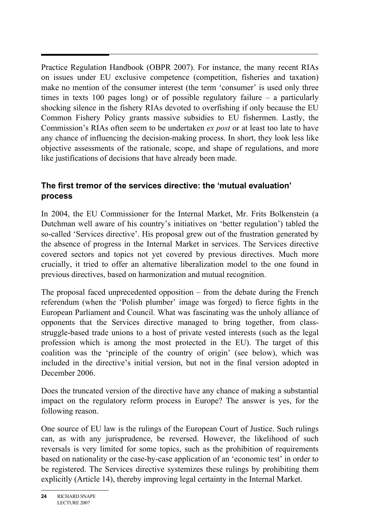$\overline{a}$ Practice Regulation Handbook (OBPR 2007). For instance, the many recent RIAs on issues under EU exclusive competence (competition, fisheries and taxation) make no mention of the consumer interest (the term 'consumer' is used only three times in texts 100 pages long) or of possible regulatory failure – a particularly shocking silence in the fishery RIAs devoted to overfishing if only because the EU Common Fishery Policy grants massive subsidies to EU fishermen. Lastly, the Commission's RIAs often seem to be undertaken *ex post* or at least too late to have any chance of influencing the decision-making process. In short, they look less like objective assessments of the rationale, scope, and shape of regulations, and more like justifications of decisions that have already been made.

### **The first tremor of the services directive: the 'mutual evaluation' process**

In 2004, the EU Commissioner for the Internal Market, Mr. Frits Bolkenstein (a Dutchman well aware of his country's initiatives on 'better regulation') tabled the so-called 'Services directive'. His proposal grew out of the frustration generated by the absence of progress in the Internal Market in services. The Services directive covered sectors and topics not yet covered by previous directives. Much more crucially, it tried to offer an alternative liberalization model to the one found in previous directives, based on harmonization and mutual recognition.

The proposal faced unprecedented opposition – from the debate during the French referendum (when the 'Polish plumber' image was forged) to fierce fights in the European Parliament and Council. What was fascinating was the unholy alliance of opponents that the Services directive managed to bring together, from classstruggle-based trade unions to a host of private vested interests (such as the legal profession which is among the most protected in the EU). The target of this coalition was the 'principle of the country of origin' (see below), which was included in the directive's initial version, but not in the final version adopted in December 2006.

Does the truncated version of the directive have any chance of making a substantial impact on the regulatory reform process in Europe? The answer is yes, for the following reason.

One source of EU law is the rulings of the European Court of Justice. Such rulings can, as with any jurisprudence, be reversed. However, the likelihood of such reversals is very limited for some topics, such as the prohibition of requirements based on nationality or the case-by-case application of an 'economic test' in order to be registered. The Services directive systemizes these rulings by prohibiting them explicitly (Article 14), thereby improving legal certainty in the Internal Market.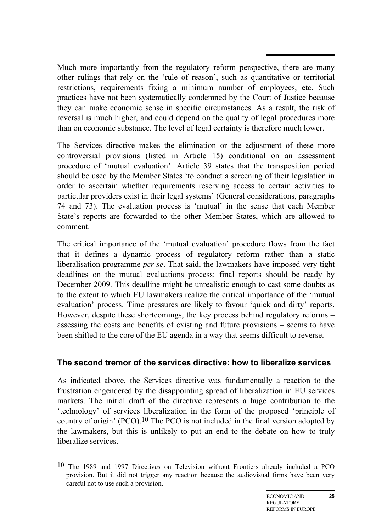$\overline{a}$ Much more importantly from the regulatory reform perspective, there are many other rulings that rely on the 'rule of reason', such as quantitative or territorial restrictions, requirements fixing a minimum number of employees, etc. Such practices have not been systematically condemned by the Court of Justice because they can make economic sense in specific circumstances. As a result, the risk of reversal is much higher, and could depend on the quality of legal procedures more than on economic substance. The level of legal certainty is therefore much lower.

The Services directive makes the elimination or the adjustment of these more controversial provisions (listed in Article 15) conditional on an assessment procedure of 'mutual evaluation'. Article 39 states that the transposition period should be used by the Member States 'to conduct a screening of their legislation in order to ascertain whether requirements reserving access to certain activities to particular providers exist in their legal systems' (General considerations, paragraphs 74 and 73). The evaluation process is 'mutual' in the sense that each Member State's reports are forwarded to the other Member States, which are allowed to comment.

The critical importance of the 'mutual evaluation' procedure flows from the fact that it defines a dynamic process of regulatory reform rather than a static liberalisation programme *per se*. That said, the lawmakers have imposed very tight deadlines on the mutual evaluations process: final reports should be ready by December 2009. This deadline might be unrealistic enough to cast some doubts as to the extent to which EU lawmakers realize the critical importance of the 'mutual evaluation' process. Time pressures are likely to favour 'quick and dirty' reports. However, despite these shortcomings, the key process behind regulatory reforms – assessing the costs and benefits of existing and future provisions – seems to have been shifted to the core of the EU agenda in a way that seems difficult to reverse.

### **The second tremor of the services directive: how to liberalize services**

As indicated above, the Services directive was fundamentally a reaction to the frustration engendered by the disappointing spread of liberalization in EU services markets. The initial draft of the directive represents a huge contribution to the 'technology' of services liberalization in the form of the proposed 'principle of country of origin' (PCO).<sup>10</sup> The PCO is not included in the final version adopted by the lawmakers, but this is unlikely to put an end to the debate on how to truly liberalize services.

 $\overline{a}$ 

<sup>10</sup> The 1989 and 1997 Directives on Television without Frontiers already included a PCO provision. But it did not trigger any reaction because the audiovisual firms have been very careful not to use such a provision.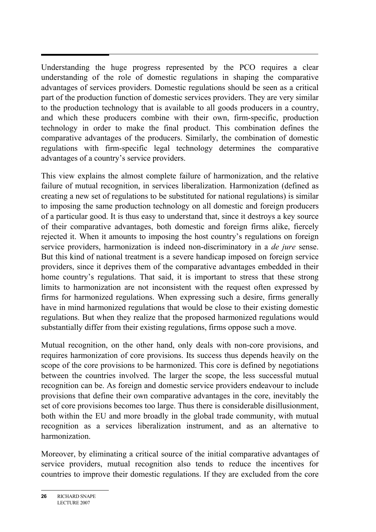$\overline{a}$ Understanding the huge progress represented by the PCO requires a clear understanding of the role of domestic regulations in shaping the comparative advantages of services providers. Domestic regulations should be seen as a critical part of the production function of domestic services providers. They are very similar to the production technology that is available to all goods producers in a country, and which these producers combine with their own, firm-specific, production technology in order to make the final product. This combination defines the comparative advantages of the producers. Similarly, the combination of domestic regulations with firm-specific legal technology determines the comparative advantages of a country's service providers.

This view explains the almost complete failure of harmonization, and the relative failure of mutual recognition, in services liberalization. Harmonization (defined as creating a new set of regulations to be substituted for national regulations) is similar to imposing the same production technology on all domestic and foreign producers of a particular good. It is thus easy to understand that, since it destroys a key source of their comparative advantages, both domestic and foreign firms alike, fiercely rejected it. When it amounts to imposing the host country's regulations on foreign service providers, harmonization is indeed non-discriminatory in a *de jure* sense. But this kind of national treatment is a severe handicap imposed on foreign service providers, since it deprives them of the comparative advantages embedded in their home country's regulations. That said, it is important to stress that these strong limits to harmonization are not inconsistent with the request often expressed by firms for harmonized regulations. When expressing such a desire, firms generally have in mind harmonized regulations that would be close to their existing domestic regulations. But when they realize that the proposed harmonized regulations would substantially differ from their existing regulations, firms oppose such a move.

Mutual recognition, on the other hand, only deals with non-core provisions, and requires harmonization of core provisions. Its success thus depends heavily on the scope of the core provisions to be harmonized. This core is defined by negotiations between the countries involved. The larger the scope, the less successful mutual recognition can be. As foreign and domestic service providers endeavour to include provisions that define their own comparative advantages in the core, inevitably the set of core provisions becomes too large. Thus there is considerable disillusionment, both within the EU and more broadly in the global trade community, with mutual recognition as a services liberalization instrument, and as an alternative to harmonization.

Moreover, by eliminating a critical source of the initial comparative advantages of service providers, mutual recognition also tends to reduce the incentives for countries to improve their domestic regulations. If they are excluded from the core

**<sup>26</sup>** RICHARD SNAPE LECTURE 2007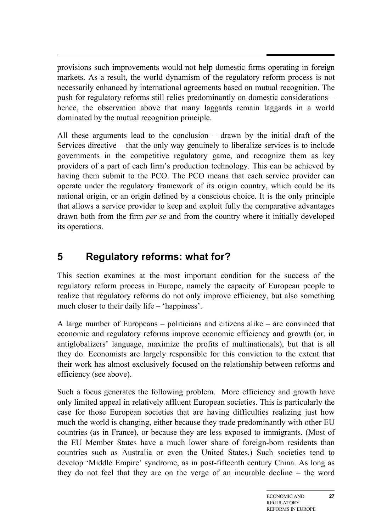provisions such improvements would not help domestic firms operating in foreign markets. As a result, the world dynamism of the regulatory reform process is not necessarily enhanced by international agreements based on mutual recognition. The push for regulatory reforms still relies predominantly on domestic considerations – hence, the observation above that many laggards remain laggards in a world dominated by the mutual recognition principle.

All these arguments lead to the conclusion – drawn by the initial draft of the Services directive – that the only way genuinely to liberalize services is to include governments in the competitive regulatory game, and recognize them as key providers of a part of each firm's production technology. This can be achieved by having them submit to the PCO. The PCO means that each service provider can operate under the regulatory framework of its origin country, which could be its national origin, or an origin defined by a conscious choice. It is the only principle that allows a service provider to keep and exploit fully the comparative advantages drawn both from the firm *per se* and from the country where it initially developed its operations.

### **5 Regulatory reforms: what for?**

This section examines at the most important condition for the success of the regulatory reform process in Europe, namely the capacity of European people to realize that regulatory reforms do not only improve efficiency, but also something much closer to their daily life – 'happiness'.

A large number of Europeans – politicians and citizens alike – are convinced that economic and regulatory reforms improve economic efficiency and growth (or, in antiglobalizers' language, maximize the profits of multinationals), but that is all they do. Economists are largely responsible for this conviction to the extent that their work has almost exclusively focused on the relationship between reforms and efficiency (see above).

Such a focus generates the following problem. More efficiency and growth have only limited appeal in relatively affluent European societies. This is particularly the case for those European societies that are having difficulties realizing just how much the world is changing, either because they trade predominantly with other EU countries (as in France), or because they are less exposed to immigrants. (Most of the EU Member States have a much lower share of foreign-born residents than countries such as Australia or even the United States.) Such societies tend to develop 'Middle Empire' syndrome, as in post-fifteenth century China. As long as they do not feel that they are on the verge of an incurable decline – the word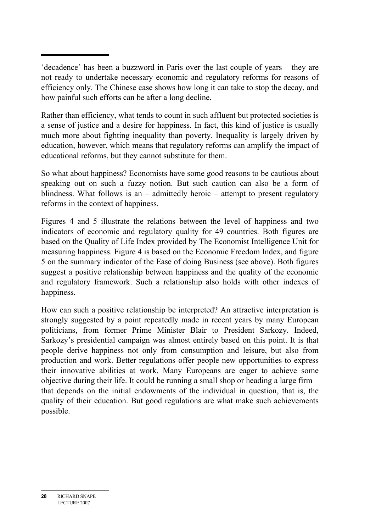$\overline{a}$ 'decadence' has been a buzzword in Paris over the last couple of years – they are not ready to undertake necessary economic and regulatory reforms for reasons of efficiency only. The Chinese case shows how long it can take to stop the decay, and how painful such efforts can be after a long decline.

Rather than efficiency, what tends to count in such affluent but protected societies is a sense of justice and a desire for happiness. In fact, this kind of justice is usually much more about fighting inequality than poverty. Inequality is largely driven by education, however, which means that regulatory reforms can amplify the impact of educational reforms, but they cannot substitute for them.

So what about happiness? Economists have some good reasons to be cautious about speaking out on such a fuzzy notion. But such caution can also be a form of blindness. What follows is an  $-$  admittedly heroic  $-$  attempt to present regulatory reforms in the context of happiness.

Figures 4 and 5 illustrate the relations between the level of happiness and two indicators of economic and regulatory quality for 49 countries. Both figures are based on the Quality of Life Index provided by The Economist Intelligence Unit for measuring happiness. Figure 4 is based on the Economic Freedom Index, and figure 5 on the summary indicator of the Ease of doing Business (see above). Both figures suggest a positive relationship between happiness and the quality of the economic and regulatory framework. Such a relationship also holds with other indexes of happiness.

How can such a positive relationship be interpreted? An attractive interpretation is strongly suggested by a point repeatedly made in recent years by many European politicians, from former Prime Minister Blair to President Sarkozy. Indeed, Sarkozy's presidential campaign was almost entirely based on this point. It is that people derive happiness not only from consumption and leisure, but also from production and work. Better regulations offer people new opportunities to express their innovative abilities at work. Many Europeans are eager to achieve some objective during their life. It could be running a small shop or heading a large firm – that depends on the initial endowments of the individual in question, that is, the quality of their education. But good regulations are what make such achievements possible.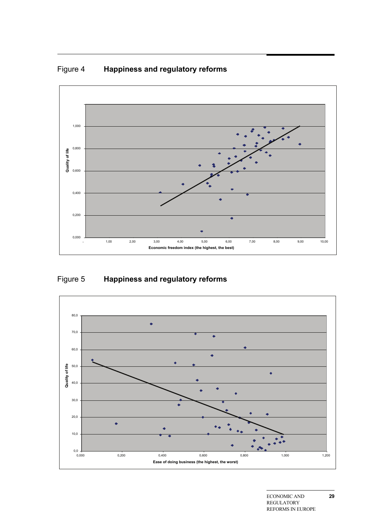Figure 4 Figure 4 **Happiness and regulatory reforms** 



Figure 5 **Happiness and regulatory reforms** 

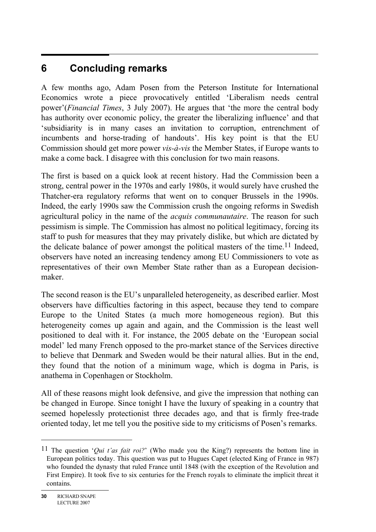#### 6 **6 Concluding remarks**

A few months ago, Adam Posen from the Peterson Institute for International Economics wrote a piece provocatively entitled 'Liberalism needs central power'(*Financial Times*, 3 July 2007). He argues that 'the more the central body has authority over economic policy, the greater the liberalizing influence' and that 'subsidiarity is in many cases an invitation to corruption, entrenchment of incumbents and horse-trading of handouts'. His key point is that the EU Commission should get more power *vis-à-vis* the Member States, if Europe wants to make a come back. I disagree with this conclusion for two main reasons.

The first is based on a quick look at recent history. Had the Commission been a strong, central power in the 1970s and early 1980s, it would surely have crushed the Thatcher-era regulatory reforms that went on to conquer Brussels in the 1990s. Indeed, the early 1990s saw the Commission crush the ongoing reforms in Swedish agricultural policy in the name of the *acquis communautaire*. The reason for such pessimism is simple. The Commission has almost no political legitimacy, forcing its staff to push for measures that they may privately dislike, but which are dictated by the delicate balance of power amongst the political masters of the time.11 Indeed, observers have noted an increasing tendency among EU Commissioners to vote as representatives of their own Member State rather than as a European decisionmaker.

The second reason is the EU's unparalleled heterogeneity, as described earlier. Most observers have difficulties factoring in this aspect, because they tend to compare Europe to the United States (a much more homogeneous region). But this heterogeneity comes up again and again, and the Commission is the least well positioned to deal with it. For instance, the 2005 debate on the 'European social model' led many French opposed to the pro-market stance of the Services directive to believe that Denmark and Sweden would be their natural allies. But in the end, they found that the notion of a minimum wage, which is dogma in Paris, is anathema in Copenhagen or Stockholm.

All of these reasons might look defensive, and give the impression that nothing can be changed in Europe. Since tonight I have the luxury of speaking in a country that seemed hopelessly protectionist three decades ago, and that is firmly free-trade oriented today, let me tell you the positive side to my criticisms of Posen's remarks.

 $\overline{a}$ 

<sup>11</sup> The question '*Qui t'as fait roi?*' (Who made you the King?) represents the bottom line in European politics today. This question was put to Hugues Capet (elected King of France in 987) who founded the dynasty that ruled France until 1848 (with the exception of the Revolution and First Empire). It took five to six centuries for the French royals to eliminate the implicit threat it contains.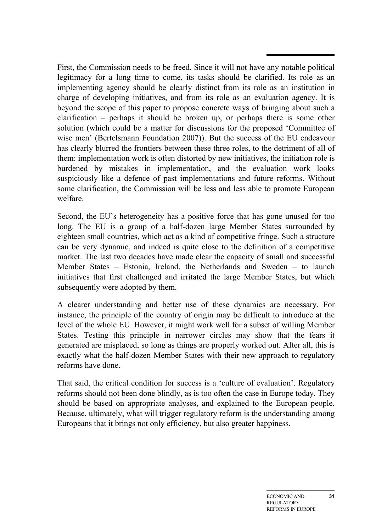$\overline{a}$ First, the Commission needs to be freed. Since it will not have any notable political legitimacy for a long time to come, its tasks should be clarified. Its role as an implementing agency should be clearly distinct from its role as an institution in charge of developing initiatives, and from its role as an evaluation agency. It is beyond the scope of this paper to propose concrete ways of bringing about such a clarification – perhaps it should be broken up, or perhaps there is some other solution (which could be a matter for discussions for the proposed 'Committee of wise men' (Bertelsmann Foundation 2007)). But the success of the EU endeavour has clearly blurred the frontiers between these three roles, to the detriment of all of them: implementation work is often distorted by new initiatives, the initiation role is burdened by mistakes in implementation, and the evaluation work looks suspiciously like a defence of past implementations and future reforms. Without some clarification, the Commission will be less and less able to promote European welfare.

Second, the EU's heterogeneity has a positive force that has gone unused for too long. The EU is a group of a half-dozen large Member States surrounded by eighteen small countries, which act as a kind of competitive fringe. Such a structure can be very dynamic, and indeed is quite close to the definition of a competitive market. The last two decades have made clear the capacity of small and successful Member States – Estonia, Ireland, the Netherlands and Sweden – to launch initiatives that first challenged and irritated the large Member States, but which subsequently were adopted by them.

A clearer understanding and better use of these dynamics are necessary. For instance, the principle of the country of origin may be difficult to introduce at the level of the whole EU. However, it might work well for a subset of willing Member States. Testing this principle in narrower circles may show that the fears it generated are misplaced, so long as things are properly worked out. After all, this is exactly what the half-dozen Member States with their new approach to regulatory reforms have done.

That said, the critical condition for success is a 'culture of evaluation'. Regulatory reforms should not been done blindly, as is too often the case in Europe today. They should be based on appropriate analyses, and explained to the European people. Because, ultimately, what will trigger regulatory reform is the understanding among Europeans that it brings not only efficiency, but also greater happiness.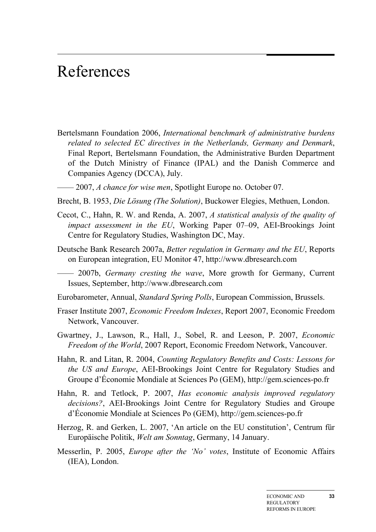## References

- Bertelsmann Foundation 2006, *International benchmark of administrative burdens related to selected EC directives in the Netherlands, Germany and Denmark*, Final Report, Bertelsmann Foundation, the Administrative Burden Department of the Dutch Ministry of Finance (IPAL) and the Danish Commerce and Companies Agency (DCCA), July.
- —— 2007, *A chance for wise men*, Spotlight Europe no. October 07.
- Brecht, B. 1953, *Die Lösung (The Solution)*, Buckower Elegies, Methuen, London.
- Cecot, C., Hahn, R. W. and Renda, A. 2007, *A statistical analysis of the quality of impact assessment in the EU*, Working Paper 07–09, AEI-Brookings Joint Centre for Regulatory Studies, Washington DC, May.
- Deutsche Bank Research 2007a, *Better regulation in Germany and the EU*, Reports on European integration, EU Monitor 47, http://www.dbresearch.com

—— 2007b, *Germany cresting the wave*, More growth for Germany, Current Issues, September, http://www.dbresearch.com

- Eurobarometer, Annual, *Standard Spring Polls*, European Commission, Brussels.
- Fraser Institute 2007, *Economic Freedom Indexes*, Report 2007, Economic Freedom Network, Vancouver.
- Gwartney, J., Lawson, R., Hall, J., Sobel, R. and Leeson, P. 2007, *Economic Freedom of the World*, 2007 Report, Economic Freedom Network, Vancouver.
- Hahn, R. and Litan, R. 2004, *Counting Regulatory Benefits and Costs: Lessons for the US and Europe*, AEI-Brookings Joint Centre for Regulatory Studies and Groupe d'Économie Mondiale at Sciences Po (GEM), http://gem.sciences-po.fr
- Hahn, R. and Tetlock, P. 2007, *Has economic analysis improved regulatory decisions?*, AEI-Brookings Joint Centre for Regulatory Studies and Groupe d'Économie Mondiale at Sciences Po (GEM), http://gem.sciences-po.fr
- Herzog, R. and Gerken, L. 2007, 'An article on the EU constitution', Centrum für Europäische Politik, *Welt am Sonntag*, Germany, 14 January.
- Messerlin, P. 2005, *Europe after the 'No' votes*, Institute of Economic Affairs (IEA), London.